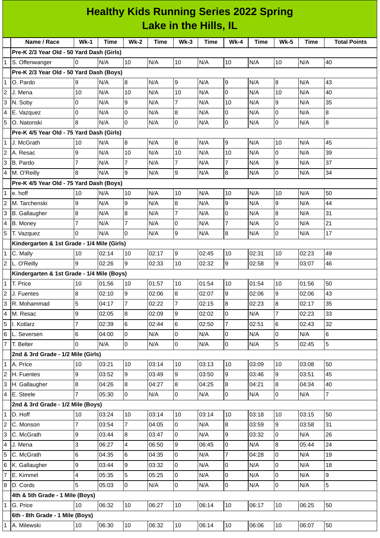|                | <b>Healthy Kids Running Series 2022 Spring</b><br>Lake in the Hills, IL |                |       |                         |       |                |       |                |       |                |       |                     |
|----------------|-------------------------------------------------------------------------|----------------|-------|-------------------------|-------|----------------|-------|----------------|-------|----------------|-------|---------------------|
|                |                                                                         |                |       |                         |       |                |       |                |       |                |       |                     |
|                | Name / Race                                                             | $Wk-1$         | Time  | $Wk-2$                  | Time  | $Wk-3$         | Time  | <b>Wk-4</b>    | Time  | <b>Wk-5</b>    | Time  | <b>Total Points</b> |
|                | Pre-K 2/3 Year Old - 50 Yard Dash (Girls)                               |                |       |                         |       |                |       |                |       |                |       |                     |
| 1              | S. Offenwanger                                                          | 0              | N/A   | 10                      | N/A   | $10\,$         | N/A   | 10             | N/A   | 10             | N/A   | 40                  |
|                | Pre-K 2/3 Year Old - 50 Yard Dash (Boys)                                |                |       |                         |       |                |       |                |       |                |       |                     |
| 1              | O. Pardo                                                                | 9              | N/A   | $\, 8$                  | N/A   | 9              | N/A   | 9              | N/A   | $\bf{8}$       | N/A   | 43                  |
| 2              | J. Mena                                                                 | 10             | N/A   | 10                      | N/A   | 10             | N/A   | 0              | N/A   | 10             | N/A   | 40                  |
| 3              | N. Soby                                                                 | 0              | N/A   | 9                       | N/A   | $\overline{7}$ | N/A   | 10             | N/A   | 9              | N/A   | 35                  |
| 4              | E. Vazquez                                                              | 0              | N/A   | 0                       | N/A   | 8              | N/A   | 0              | N/A   | 0              | N/A   | 8                   |
| 5              | O. Natonski                                                             | 8              | N/A   | $\mathbf 0$             | N/A   | 0              | N/A   | 0              | N/A   | 0              | N/A   | 8                   |
|                | Pre-K 4/5 Year Old - 75 Yard Dash (Girls)                               |                |       |                         |       |                |       |                |       |                |       |                     |
| 1              | J. McGrath                                                              | 10             | N/A   | 8                       | N/A   | 8              | N/A   | 9              | N/A   | 10             | N/A   | 45                  |
| 2              | <b>A.</b> Resac                                                         | 9              | N/A   | 10                      | N/A   | 10             | N/A   | 10             | N/A   | $\Omega$       | N/A   | 39                  |
| 3              | B. Pardo                                                                | 7              | N/A   | 7                       | N/A   | 7              | N/A   | 7              | N/A   | 9              | N/A   | 37                  |
| 4              | M. O'Reilly                                                             | 8              | N/A   | 9                       | N/A   | 9              | N/A   | 8              | N/A   | 0              | N/A   | 34                  |
|                | Pre-K 4/5 Year Old - 75 Yard Dash (Boys)                                |                |       |                         |       |                |       |                |       |                |       |                     |
| $\mathbf{1}$   | e. hoff                                                                 | 10             | N/A   | 10                      | N/A   | 10             | N/A   | 10             | N/A   | 10             | N/A   | 50                  |
| 2              | M. Tarchenski                                                           | 9              | N/A   | 9                       | N/A   | 8              | N/A   | 9              | N/A   | 9              | N/A   | 44                  |
| 3              | <b>B.</b> Gallaugher                                                    | 8              | N/A   | 8                       | N/A   | $\overline{7}$ | N/A   | 0              | N/A   | 8              | N/A   | 31                  |
| 4              | B. Money                                                                | 7              | N/A   | 7                       | N/A   | 0              | N/A   | 7              | N/A   | 0              | N/A   | 21                  |
|                | 5 T. Vazquez                                                            | 0              | N/A   | 0                       | N/A   | 9              | N/A   | 8              | N/A   | $\Omega$       | N/A   | 17                  |
|                | Kindergarten & 1st Grade - 1/4 Mile (Girls)                             |                |       |                         |       |                |       |                |       |                |       |                     |
| $\mathbf{1}$   | C. Mally                                                                | 10             | 02:14 | 10                      | 02:17 | 9              | 02:45 | 10             | 02:31 | 10             | 02:23 | 49                  |
|                | 2 L. O'Reilly                                                           | 9              | 02:26 | 9                       | 02:33 | 10             | 02:32 | 9              | 02:58 | 9              | 03:07 | 46                  |
|                | Kindergarten & 1st Grade - 1/4 Mile (Boys)                              |                |       |                         |       |                |       |                |       |                |       |                     |
|                | 1 T. Price                                                              | 10             | 01:56 | 10                      | 01:57 | 10             | 01:54 | 10             | 01:54 | 10             | 01:56 | 50                  |
| $\overline{c}$ | J. Fuentes                                                              | 8              | 02:10 | 9                       | 02:06 | $\overline{8}$ | 02:07 | 9              | 02:06 | 9              | 02:06 | 43                  |
| 3              | R. Mohammad                                                             | 5              | 04:17 | $\overline{7}$          | 02:22 | $\overline{7}$ | 02:15 | 8              | 02:23 | 8              | 02:17 | 35                  |
| 4              | M. Resac                                                                | 9              | 02:05 | 8                       | 02:09 | 9              | 02:02 | $\overline{0}$ | N/A   | $\overline{7}$ | 02:23 | 33                  |
| 5              | I. Kotlarz                                                              | $\overline{7}$ | 02:39 | 6                       | 02:44 | 6              | 02:50 | $\overline{7}$ | 02:51 | 6              | 02:43 | 32                  |
| $6\phantom{.}$ | L. Seversen                                                             | 6              | 04:00 | 0                       | N/A   | 0              | N/A   | 0              | N/A   | 0              | N/A   | 6                   |
|                | 7 T. Belter                                                             | $\Omega$       | N/A   | $\overline{0}$          | N/A   | $\overline{0}$ | N/A   | $\overline{0}$ | N/A   | 5              | 02:45 | 5                   |
|                | 2nd & 3rd Grade - 1/2 Mile (Girls)                                      |                |       |                         |       |                |       |                |       |                |       |                     |
|                | 1 A. Price                                                              | 10             | 03:21 | 10                      | 03:14 | 10             | 03:13 | 10             | 03:09 | 10             | 03:08 | 50                  |
| $\overline{c}$ | H. Fuentes                                                              | 9              | 03:52 | 9                       | 03:49 | $\overline{9}$ | 03:50 | 9              | 03:46 | $\overline{9}$ | 03:51 | 45                  |
| 3              | H. Gallaugher                                                           | 8              | 04:26 | 8                       | 04:27 | 8              | 04:25 | 8              | 04:21 | 8              | 04:34 | 40                  |
|                | $4$ E. Steele                                                           | $\overline{7}$ | 05:30 | l0                      | N/A   | 0              | N/A   | $\overline{0}$ | N/A   | $\Omega$       | N/A   | $\overline{7}$      |
|                | 2nd & 3rd Grade - 1/2 Mile (Boys)                                       |                |       |                         |       |                |       |                |       |                |       |                     |
| $\mathbf{1}$   | D. Hoff                                                                 | 10             | 03:24 | 10                      | 03:14 | 10             | 03:14 | 10             | 03:18 | 10             | 03:15 | 50                  |
| $\overline{c}$ | C. Monson                                                               | $\overline{7}$ | 03:54 | $\overline{7}$          | 04:05 | $\overline{0}$ | N/A   | 8              | 03:59 | 9              | 03:58 | 31                  |
| 3              | C. McGrath                                                              | 9              | 03:44 | 8                       | 03:47 | 0              | N/A   | 9              | 03:32 | 0              | N/A   | 26                  |
| 4              | J. Mena                                                                 | 3              | 06:27 | $\overline{\mathbf{4}}$ | 06:50 | 9              | 06:45 | 0              | N/A   | 8              | 05:44 | 24                  |
| 5              | C. McGrath                                                              | 6              | 04:35 | 6                       | 04:35 | l0             | N/A   | $\overline{7}$ | 04:28 | 0              | N/A   | 19                  |
| 6              | K. Gallaugher                                                           | 9              | 03:44 | 9                       | 03:32 | 0              | N/A   | 0              | N/A   | $\Omega$       | N/A   | 18                  |
| $\overline{7}$ | E. Kimmel                                                               | 4              | 05:35 | 5                       | 05:25 | $\overline{0}$ | N/A   | 0              | N/A   | 0              | N/A   | 9                   |
| 8              | D. Cords                                                                | 5              | 05:03 | O                       | N/A   | 0              | N/A   | $\overline{0}$ | N/A   | 0              | N/A   | 5                   |
|                | 4th & 5th Grade - 1 Mile (Boys)                                         |                |       |                         |       |                |       |                |       |                |       |                     |
|                | 1 G. Price                                                              | 10             | 06:32 | 10                      | 06:27 | 10             | 06:14 | 10             | 06:17 | 10             | 06:25 | 50                  |
|                | 6th - 8th Grade - 1 Mile (Boys)                                         |                |       |                         |       |                |       |                |       |                |       |                     |
|                | 1 A. Milewski                                                           | 10             | 06:30 | 10                      | 06:32 | 10             | 06:14 | 10             | 06:06 | 10             | 06:07 | 50                  |